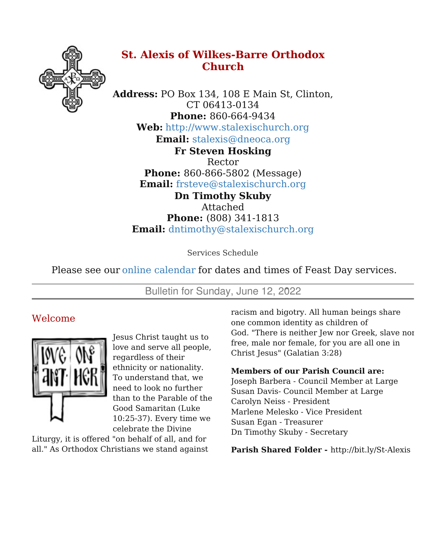

# **St. Alexis of Wilkes-Barre Orthodox Church**

**Address:** PO Box 134, 108 E Main St, Clinton, CT 06413-0134 **Phone:** 860-664-9434 **Web:** <http://www.stalexischurch.org> **Email:** [stalexis@dneoca.org](mailto:stalexis@dneoca.org) **Fr Steven Hosking** Rector **Phone:** 860-866-5802 (Message)

**Email:** [frsteve@stalexischurch.org](mailto:frsteve@stalexischurch.org) **Dn Timothy Skuby** Attached **Phone:** (808) 341-1813 **Email:** [dntimothy@stalexischurch.org](mailto:dntimothy@stalexischurch.org)

Services Schedule

Please see our online [calendar](http://stalexischurch.org/schedule.html) for dates and times of Feast Day services.

Bulletin for Sunday, June 12, 2022

# Welcome



Jesus Christ taught us to love and serve all people, regardless of their ethnicity or nationality. To understand that, we need to look no further than to the Parable of the Good Samaritan (Luke 10:25-37). Every time we celebrate the Divine

Liturgy, it is offered "on behalf of all, and for all." As Orthodox Christians we stand against racism and bigotry. All human beings share one common identity as children of God. "There is neither Jew nor Greek, slave nor free, male nor female, for you are all one in Christ Jesus" (Galatian 3:28)

## **Members of our Parish Council are:**

Joseph Barbera - Council Member at Large Susan Davis- Council Member at Large Carolyn Neiss - President Marlene Melesko - Vice President Susan Egan - Treasurer Dn Timothy Skuby - Secretary

**Parish Shared Folder -** http://bit.ly/St-Alexis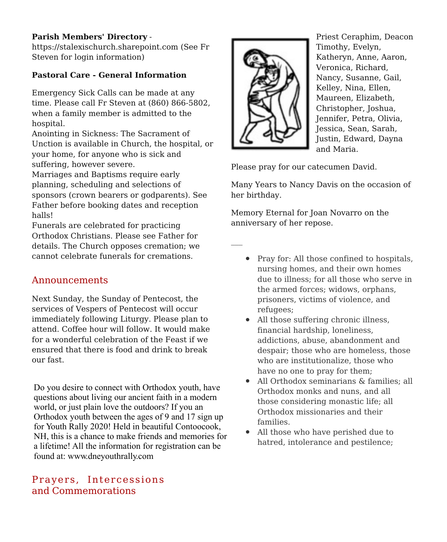# **Parish Members' Directory** -

https://stalexischurch.sharepoint.com (See Fr Steven for login information)

# **Pastoral Care - General Information**

Emergency Sick Calls can be made at any time. Please call Fr Steven at (860) 866-5802, when a family member is admitted to the hospital.

Anointing in Sickness: The Sacrament of Unction is available in Church, the hospital, or your home, for anyone who is sick and suffering, however severe.

Marriages and Baptisms require early planning, scheduling and selections of sponsors (crown bearers or godparents). See Father before booking dates and reception halls!

Funerals are celebrated for practicing Orthodox Christians. Please see Father for details. The Church opposes cremation; we cannot celebrate funerals for cremations.

# Announcements

Next Sunday, the Sunday of Pentecost, the services of Vespers of Pentecost will occur immediately following Liturgy. Please plan to attend. Coffee hour will follow. It would make for a wonderful celebration of the Feast if we ensured that there is food and drink to break our fast.

Do you desire to connect with Orthodox youth, have questions about living our ancient faith in a modern world, or just plain love the outdoors? If you an Orthodox youth between the ages of 9 and 17 sign up for Youth Rally 2020! Held in beautiful Contoocook, NH, this is a chance to make friends and memories for a lifetime! All the information for registration can be found at: www.dneyouthrally.com

Prayers, Intercessions and Commemorations



Priest Ceraphim, Deacon Timothy, Evelyn, Katheryn, Anne, Aaron, Veronica, Richard, Nancy, Susanne, Gail, Kelley, Nina, Ellen, Maureen, Elizabeth, Christopher, Joshua, Jennifer, Petra, Olivia, Jessica, Sean, Sarah, Justin, Edward, Dayna and Maria.

Please pray for our catecumen David.

Many Years to Nancy Davis on the occasion of her birthday.

Memory Eternal for Joan Novarro on the anniversary of her repose.

- Pray for: All those confined to hospitals, nursing homes, and their own homes due to illness; for all those who serve in the armed forces; widows, orphans, prisoners, victims of violence, and refugees;
- All those suffering chronic illness, financial hardship, loneliness, addictions, abuse, abandonment and despair; those who are homeless, those who are institutionalize, those who have no one to pray for them;
- All Orthodox seminarians & families; all Orthodox monks and nuns, and all those considering monastic life; all Orthodox missionaries and their families.
- All those who have perished due to hatred, intolerance and pestilence;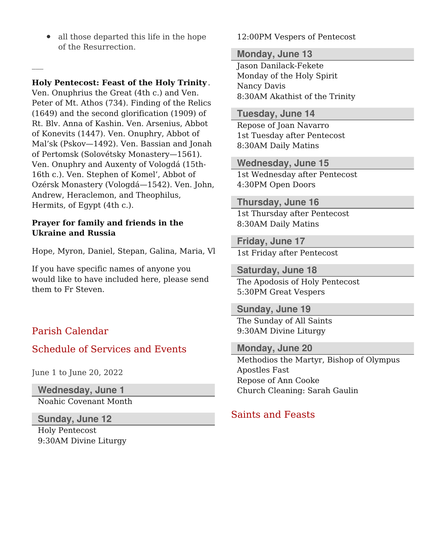• all those departed this life in the hope of the Resurrection.

**Holy Pentecost: Feast of the Holy Trinity** . Ven. Onuphrius the Great (4th c.) and Ven. Peter of Mt. Athos (734). Finding of the Relics (1649) and the second glorification (1909) of Rt. Blv. Anna of Kashin. Ven. Arsenius, Abbot of Konevits (1447). Ven. Onuphry, Abbot of Mal'sk (Pskov—1492). Ven. Bassian and Jonah of Pertomsk (Solovétsky Monastery—1561). Ven. Onuphry and Auxenty of Vologdá (15th-16th c.). Ven. Stephen of Komel', Abbot of Ozérsk Monastery (Vologdá—1542). Ven. John, Andrew, Heraclemon, and Theophilus, Hermits, of Egypt (4th c.).

#### **Prayer for family and friends in the Ukraine and Russia**

Hope, Myron, Daniel, Stepan, Galina, Maria, Vl

If you have specific names of anyone you would like to have included here, please send them to Fr Steven.

# Parish Calendar

## Schedule of Services and Events

June 1 to June 20, 2022

# **Wednesday, June 1**

Noahic Covenant Month

**Sunday, June 12** Holy Pentecost 9:30AM Divine Liturgy 12:00PM Vespers of Pentecost

#### **Monday, June 13**

Jason Danilack-Fekete Monday of the Holy Spirit Nancy Davis 8:30AM Akathist of the Trinity

#### **Tuesday, June 14**

Repose of Joan Navarro 1st Tuesday after Pentecost 8:30AM Daily Matins

#### **Wednesday, June 15**

1st Wednesday after Pentecost 4:30PM Open Doors

#### **Thursday, June 16**

1st Thursday after Pentecost 8:30AM Daily Matins

**Friday, June 17** 1st Friday after Pentecost

# **Saturday, June 18** The Apodosis of Holy Pentecost

5:30PM Great Vespers

#### **Sunday, June 19**

The Sunday of All Saints 9:30AM Divine Liturgy

#### **Monday, June 20**

Methodios the Martyr, Bishop of Olympus Apostles Fast Repose of Ann Cooke Church Cleaning: Sarah Gaulin

# Saints and Feasts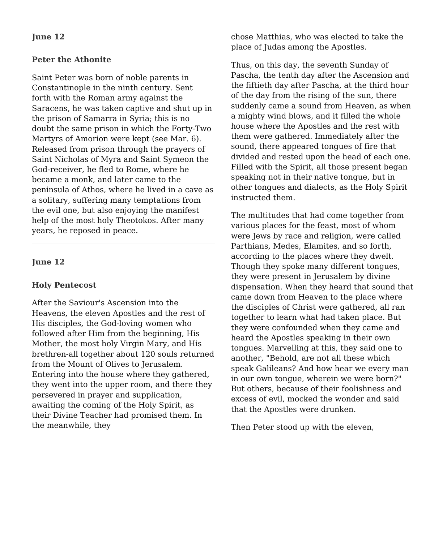#### **June 12**

#### **Peter the Athonite**

Saint Peter was born of noble parents in Constantinople in the ninth century. Sent forth with the Roman army against the Saracens, he was taken captive and shut up in the prison of Samarra in Syria; this is no doubt the same prison in which the Forty-Two Martyrs of Amorion were kept (see Mar. 6). Released from prison through the prayers of Saint Nicholas of Myra and Saint Symeon the God-receiver, he fled to Rome, where he became a monk, and later came to the peninsula of Athos, where he lived in a cave as a solitary, suffering many temptations from the evil one, but also enjoying the manifest help of the most holy Theotokos. After many years, he reposed in peace.

#### **June 12**

#### **Holy Pentecost**

After the Saviour's Ascension into the Heavens, the eleven Apostles and the rest of His disciples, the God-loving women who followed after Him from the beginning, His Mother, the most holy Virgin Mary, and His brethren-all together about 120 souls returned from the Mount of Olives to Jerusalem. Entering into the house where they gathered, they went into the upper room, and there they persevered in prayer and supplication, awaiting the coming of the Holy Spirit, as their Divine Teacher had promised them. In the meanwhile, they

chose Matthias, who was elected to take the place of Judas among the Apostles.

Thus, on this day, the seventh Sunday of Pascha, the tenth day after the Ascension and the fiftieth day after Pascha, at the third hour of the day from the rising of the sun, there suddenly came a sound from Heaven, as when a mighty wind blows, and it filled the whole house where the Apostles and the rest with them were gathered. Immediately after the sound, there appeared tongues of fire that divided and rested upon the head of each one. Filled with the Spirit, all those present began speaking not in their native tongue, but in other tongues and dialects, as the Holy Spirit instructed them.

The multitudes that had come together from various places for the feast, most of whom were Jews by race and religion, were called Parthians, Medes, Elamites, and so forth, according to the places where they dwelt. Though they spoke many different tongues, they were present in Jerusalem by divine dispensation. When they heard that sound that came down from Heaven to the place where the disciples of Christ were gathered, all ran together to learn what had taken place. But they were confounded when they came and heard the Apostles speaking in their own tongues. Marvelling at this, they said one to another, "Behold, are not all these which speak Galileans? And how hear we every man in our own tongue, wherein we were born?" But others, because of their foolishness and excess of evil, mocked the wonder and said that the Apostles were drunken.

Then Peter stood up with the eleven,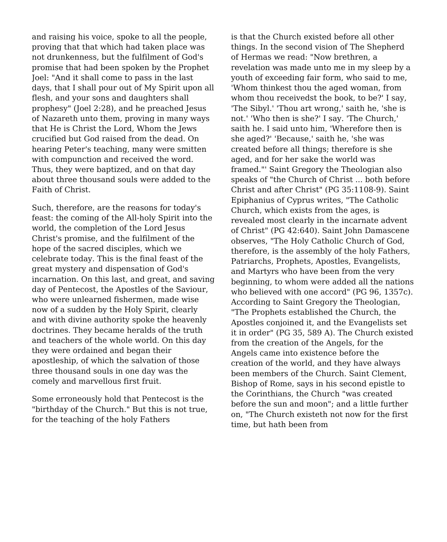and raising his voice, spoke to all the people, proving that that which had taken place was not drunkenness, but the fulfilment of God's promise that had been spoken by the Prophet Joel: "And it shall come to pass in the last days, that I shall pour out of My Spirit upon all flesh, and your sons and daughters shall prophesy" (Joel 2:28), and he preached Jesus of Nazareth unto them, proving in many ways that He is Christ the Lord, Whom the Jews crucified but God raised from the dead. On hearing Peter's teaching, many were smitten with compunction and received the word. Thus, they were baptized, and on that day about three thousand souls were added to the Faith of Christ.

Such, therefore, are the reasons for today's feast: the coming of the All-holy Spirit into the world, the completion of the Lord Jesus Christ's promise, and the fulfilment of the hope of the sacred disciples, which we celebrate today. This is the final feast of the great mystery and dispensation of God's incarnation. On this last, and great, and saving day of Pentecost, the Apostles of the Saviour, who were unlearned fishermen, made wise now of a sudden by the Holy Spirit, clearly and with divine authority spoke the heavenly doctrines. They became heralds of the truth and teachers of the whole world. On this day they were ordained and began their apostleship, of which the salvation of those three thousand souls in one day was the comely and marvellous first fruit.

Some erroneously hold that Pentecost is the "birthday of the Church." But this is not true, for the teaching of the holy Fathers

is that the Church existed before all other things. In the second vision of The Shepherd of Hermas we read: "Now brethren, a revelation was made unto me in my sleep by a youth of exceeding fair form, who said to me, 'Whom thinkest thou the aged woman, from whom thou receivedst the book, to be?' I say, 'The Sibyl.' 'Thou art wrong,' saith he, 'she is not.' 'Who then is she?' I say. 'The Church,' saith he. I said unto him, 'Wherefore then is she aged?' 'Because,' saith he, 'she was created before all things; therefore is she aged, and for her sake the world was framed."' Saint Gregory the Theologian also speaks of "the Church of Christ ... both before Christ and after Christ" (PG 35:1108-9). Saint Epiphanius of Cyprus writes, "The Catholic Church, which exists from the ages, is revealed most clearly in the incarnate advent of Christ" (PG 42:640). Saint John Damascene observes, "The Holy Catholic Church of God, therefore, is the assembly of the holy Fathers, Patriarchs, Prophets, Apostles, Evangelists, and Martyrs who have been from the very beginning, to whom were added all the nations who believed with one accord" (PG 96, 1357c). According to Saint Gregory the Theologian, "The Prophets established the Church, the Apostles conjoined it, and the Evangelists set it in order" (PG 35, 589 A). The Church existed from the creation of the Angels, for the Angels came into existence before the creation of the world, and they have always been members of the Church. Saint Clement, Bishop of Rome, says in his second epistle to the Corinthians, the Church "was created before the sun and moon"; and a little further on, "The Church existeth not now for the first time, but hath been from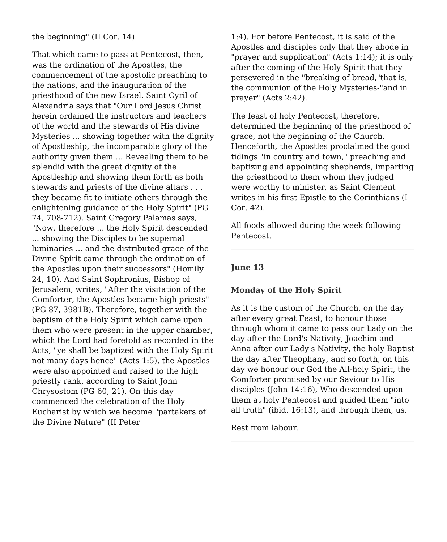the beginning" (II Cor. 14).

That which came to pass at Pentecost, then, was the ordination of the Apostles, the commencement of the apostolic preaching to the nations, and the inauguration of the priesthood of the new Israel. Saint Cyril of Alexandria says that "Our Lord Jesus Christ herein ordained the instructors and teachers of the world and the stewards of His divine Mysteries ... showing together with the dignity of Apostleship, the incomparable glory of the authority given them ... Revealing them to be splendid with the great dignity of the Apostleship and showing them forth as both stewards and priests of the divine altars . . . they became fit to initiate others through the enlightening guidance of the Holy Spirit" (PG 74, 708-712). Saint Gregory Palamas says, "Now, therefore ... the Holy Spirit descended ... showing the Disciples to be supernal luminaries ... and the distributed grace of the Divine Spirit came through the ordination of the Apostles upon their successors" (Homily 24, 10). And Saint Sophronius, Bishop of Jerusalem, writes, "After the visitation of the Comforter, the Apostles became high priests" (PG 87, 3981B). Therefore, together with the baptism of the Holy Spirit which came upon them who were present in the upper chamber, which the Lord had foretold as recorded in the Acts, "ye shall be baptized with the Holy Spirit not many days hence" (Acts 1:5), the Apostles were also appointed and raised to the high priestly rank, according to Saint John Chrysostom (PG 60, 21). On this day commenced the celebration of the Holy Eucharist by which we become "partakers of the Divine Nature" (II Peter

1:4). For before Pentecost, it is said of the Apostles and disciples only that they abode in "prayer and supplication" (Acts 1:14); it is only after the coming of the Holy Spirit that they persevered in the "breaking of bread,"that is, the communion of the Holy Mysteries-"and in prayer" (Acts 2:42).

The feast of holy Pentecost, therefore, determined the beginning of the priesthood of grace, not the beginning of the Church. Henceforth, the Apostles proclaimed the good tidings "in country and town," preaching and baptizing and appointing shepherds, imparting the priesthood to them whom they judged were worthy to minister, as Saint Clement writes in his first Epistle to the Corinthians (I Cor. 42).

All foods allowed during the week following Pentecost.

#### **June 13**

#### **Monday of the Holy Spirit**

As it is the custom of the Church, on the day after every great Feast, to honour those through whom it came to pass our Lady on the day after the Lord's Nativity, Joachim and Anna after our Lady's Nativity, the holy Baptist the day after Theophany, and so forth, on this day we honour our God the All-holy Spirit, the Comforter promised by our Saviour to His disciples (John 14:16), Who descended upon them at holy Pentecost and guided them "into all truth" (ibid. 16:13), and through them, us.

Rest from labour.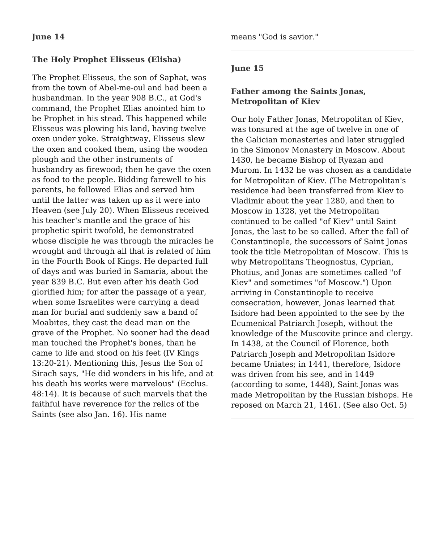#### **June 14**

#### **The Holy Prophet Elisseus (Elisha)**

The Prophet Elisseus, the son of Saphat, was from the town of Abel-me-oul and had been a husbandman. In the year 908 B.C., at God's command, the Prophet Elias anointed him to be Prophet in his stead. This happened while Elisseus was plowing his land, having twelve oxen under yoke. Straightway, Elisseus slew the oxen and cooked them, using the wooden plough and the other instruments of husbandry as firewood; then he gave the oxen as food to the people. Bidding farewell to his parents, he followed Elias and served him until the latter was taken up as it were into Heaven (see July 20). When Elisseus received his teacher's mantle and the grace of his prophetic spirit twofold, he demonstrated whose disciple he was through the miracles he wrought and through all that is related of him in the Fourth Book of Kings. He departed full of days and was buried in Samaria, about the year 839 B.C. But even after his death God glorified him; for after the passage of a year, when some Israelites were carrying a dead man for burial and suddenly saw a band of Moabites, they cast the dead man on the grave of the Prophet. No sooner had the dead man touched the Prophet's bones, than he came to life and stood on his feet (IV Kings 13:20-21). Mentioning this, Jesus the Son of Sirach says, "He did wonders in his life, and at his death his works were marvelous" (Ecclus. 48:14). It is because of such marvels that the faithful have reverence for the relics of the Saints (see also Jan. 16). His name

means "God is savior."

#### **June 15**

#### **Father among the Saints Jonas, Metropolitan of Kiev**

Our holy Father Jonas, Metropolitan of Kiev, was tonsured at the age of twelve in one of the Galician monasteries and later struggled in the Simonov Monastery in Moscow. About 1430, he became Bishop of Ryazan and Murom. In 1432 he was chosen as a candidate for Metropolitan of Kiev. (The Metropolitan's residence had been transferred from Kiev to Vladimir about the year 1280, and then to Moscow in 1328, yet the Metropolitan continued to be called "of Kiev" until Saint Jonas, the last to be so called. After the fall of Constantinople, the successors of Saint Jonas took the title Metropolitan of Moscow. This is why Metropolitans Theognostus, Cyprian, Photius, and Jonas are sometimes called "of Kiev" and sometimes "of Moscow.") Upon arriving in Constantinople to receive consecration, however, Jonas learned that Isidore had been appointed to the see by the Ecumenical Patriarch Joseph, without the knowledge of the Muscovite prince and clergy. In 1438, at the Council of Florence, both Patriarch Joseph and Metropolitan Isidore became Uniates; in 1441, therefore, Isidore was driven from his see, and in 1449 (according to some, 1448), Saint Jonas was made Metropolitan by the Russian bishops. He reposed on March 21, 1461. (See also Oct. 5)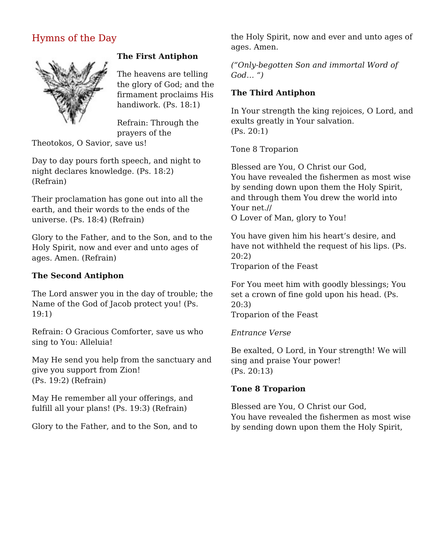# Hymns of the Day



# **The First Antiphon**

The heavens are telling the glory of God; and the firmament proclaims His handiwork. (Ps. 18:1)

Refrain: Through the prayers of the

Theotokos, O Savior, save us!

Day to day pours forth speech, and night to night declares knowledge. (Ps. 18:2) (Refrain)

Their proclamation has gone out into all the earth, and their words to the ends of the universe. (Ps. 18:4) (Refrain)

Glory to the Father, and to the Son, and to the Holy Spirit, now and ever and unto ages of ages. Amen. (Refrain)

## **The Second Antiphon**

The Lord answer you in the day of trouble; the Name of the God of Jacob protect you! (Ps. 19:1)

Refrain: O Gracious Comforter, save us who sing to You: Alleluia!

May He send you help from the sanctuary and give you support from Zion! (Ps. 19:2) (Refrain)

May He remember all your offerings, and fulfill all your plans! (Ps. 19:3) (Refrain)

Glory to the Father, and to the Son, and to

the Holy Spirit, now and ever and unto ages of ages. Amen.

*("Only-begotten Son and immortal Word of God… ")*

# **The Third Antiphon**

In Your strength the king rejoices, O Lord, and exults greatly in Your salvation. (Ps. 20:1)

Tone 8 Troparion

Blessed are You, O Christ our God, You have revealed the fishermen as most wise by sending down upon them the Holy Spirit, and through them You drew the world into Your net.// O Lover of Man, glory to You!

You have given him his heart's desire, and have not withheld the request of his lips. (Ps. 20:2)

Troparion of the Feast

For You meet him with goodly blessings; You set a crown of fine gold upon his head. (Ps. 20:3) Troparion of the Feast

*Entrance Verse*

Be exalted, O Lord, in Your strength! We will sing and praise Your power! (Ps. 20:13)

# **Tone 8 Troparion**

Blessed are You, O Christ our God, You have revealed the fishermen as most wise by sending down upon them the Holy Spirit,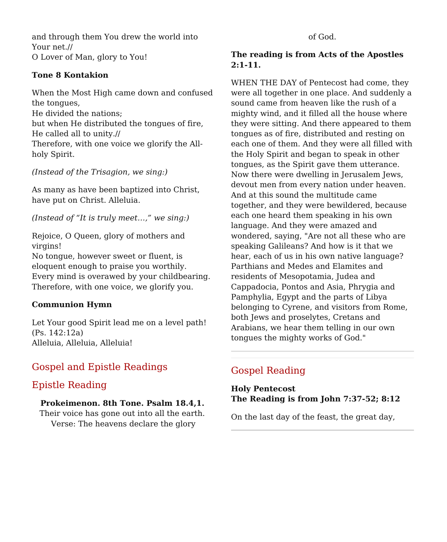and through them You drew the world into Your net.// O Lover of Man, glory to You!

#### **Tone 8 Kontakion**

When the Most High came down and confused the tongues, He divided the nations; but when He distributed the tongues of fire, He called all to unity.//

Therefore, with one voice we glorify the Allholy Spirit.

*(Instead of the Trisagion, we sing:)*

As many as have been baptized into Christ, have put on Christ. Alleluia.

*(Instead of "It is truly meet…," we sing:)*

Rejoice, O Queen, glory of mothers and virgins!

No tongue, however sweet or fluent, is eloquent enough to praise you worthily. Every mind is overawed by your childbearing. Therefore, with one voice, we glorify you.

## **Communion Hymn**

Let Your good Spirit lead me on a level path! (Ps. 142:12a) Alleluia, Alleluia, Alleluia!

# Gospel and Epistle Readings

# Epistle Reading

#### **Prokeimenon. 8th Tone. Psalm 18.4,1.**

Their voice has gone out into all the earth. Verse: The heavens declare the glory

#### **The reading is from Acts of the Apostles 2:1-11.**

WHEN THE DAY of Pentecost had come, they were all together in one place. And suddenly a sound came from heaven like the rush of a mighty wind, and it filled all the house where they were sitting. And there appeared to them tongues as of fire, distributed and resting on each one of them. And they were all filled with the Holy Spirit and began to speak in other tongues, as the Spirit gave them utterance. Now there were dwelling in Jerusalem Jews, devout men from every nation under heaven. And at this sound the multitude came together, and they were bewildered, because each one heard them speaking in his own language. And they were amazed and wondered, saying, "Are not all these who are speaking Galileans? And how is it that we hear, each of us in his own native language? Parthians and Medes and Elamites and residents of Mesopotamia, Judea and Cappadocia, Pontos and Asia, Phrygia and Pamphylia, Egypt and the parts of Libya belonging to Cyrene, and visitors from Rome, both Jews and proselytes, Cretans and Arabians, we hear them telling in our own tongues the mighty works of God."

# Gospel Reading

#### **Holy Pentecost The Reading is from John 7:37-52; 8:12**

On the last day of the feast, the great day,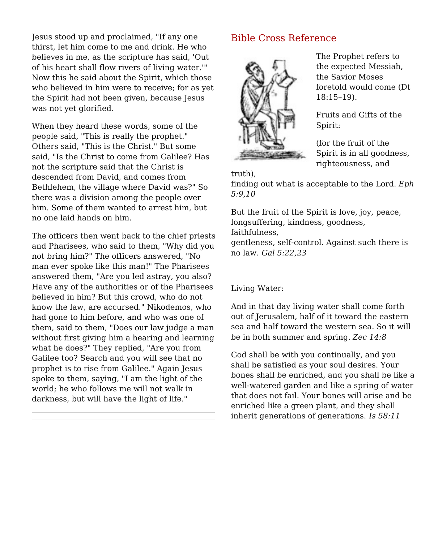Jesus stood up and proclaimed, "If any one thirst, let him come to me and drink. He who believes in me, as the scripture has said, 'Out of his heart shall flow rivers of living water.'" Now this he said about the Spirit, which those who believed in him were to receive; for as yet the Spirit had not been given, because Jesus was not yet glorified.

When they heard these words, some of the people said, "This is really the prophet." Others said, "This is the Christ." But some said, "Is the Christ to come from Galilee? Has not the scripture said that the Christ is descended from David, and comes from Bethlehem, the village where David was?" So there was a division among the people over him. Some of them wanted to arrest him, but no one laid hands on him.

The officers then went back to the chief priests and Pharisees, who said to them, "Why did you not bring him?" The officers answered, "No man ever spoke like this man!" The Pharisees answered them, "Are you led astray, you also? Have any of the authorities or of the Pharisees believed in him? But this crowd, who do not know the law, are accursed." Nikodemos, who had gone to him before, and who was one of them, said to them, "Does our law judge a man without first giving him a hearing and learning what he does?" They replied, "Are you from Galilee too? Search and you will see that no prophet is to rise from Galilee." Again Jesus spoke to them, saying, "I am the light of the world; he who follows me will not walk in darkness, but will have the light of life."

# Bible Cross Reference



The Prophet refers to the expected Messiah, the Savior Moses foretold would come (Dt 18:15–19).

Fruits and Gifts of the Spirit:

(for the fruit of the Spirit is in all goodness, righteousness, and

truth),

finding out what is acceptable to the Lord. *Eph 5:9,10*

But the fruit of the Spirit is love, joy, peace, longsuffering, kindness, goodness, faithfulness,

gentleness, self-control. Against such there is no law. *Gal 5:22,23*

# Living Water:

And in that day living water shall come forth out of Jerusalem, half of it toward the eastern sea and half toward the western sea. So it will be in both summer and spring. *Zec 14:8*

God shall be with you continually, and you shall be satisfied as your soul desires. Your bones shall be enriched, and you shall be like a well-watered garden and like a spring of water that does not fail. Your bones will arise and be enriched like a green plant, and they shall inherit generations of generations. *Is 58:11*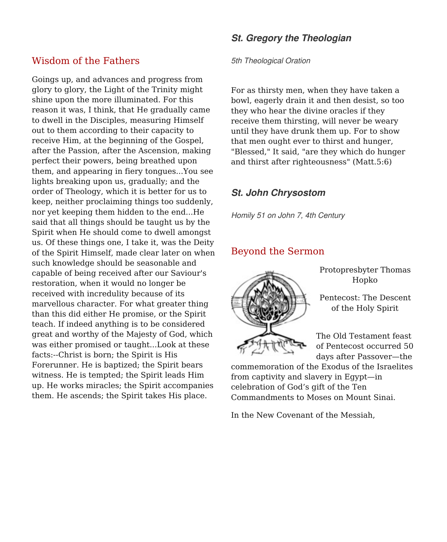# Wisdom of the Fathers

Goings up, and advances and progress from glory to glory, the Light of the Trinity might shine upon the more illuminated. For this reason it was, I think, that He gradually came to dwell in the Disciples, measuring Himself out to them according to their capacity to receive Him, at the beginning of the Gospel, after the Passion, after the Ascension, making perfect their powers, being breathed upon them, and appearing in fiery tongues...You see lights breaking upon us, gradually; and the order of Theology, which it is better for us to keep, neither proclaiming things too suddenly, nor yet keeping them hidden to the end...He said that all things should be taught us by the Spirit when He should come to dwell amongst us. Of these things one, I take it, was the Deity of the Spirit Himself, made clear later on when such knowledge should be seasonable and capable of being received after our Saviour's restoration, when it would no longer be received with incredulity because of its marvellous character. For what greater thing than this did either He promise, or the Spirit teach. If indeed anything is to be considered great and worthy of the Majesty of God, which was either promised or taught...Look at these facts:--Christ is born; the Spirit is His Forerunner. He is baptized; the Spirit bears witness. He is tempted; the Spirit leads Him up. He works miracles; the Spirit accompanies them. He ascends; the Spirit takes His place.

# **St. Gregory the Theologian**

5th Theological Oration

For as thirsty men, when they have taken a bowl, eagerly drain it and then desist, so too they who hear the divine oracles if they receive them thirsting, will never be weary until they have drunk them up. For to show that men ought ever to thirst and hunger, "Blessed," It said, "are they which do hunger and thirst after righteousness" (Matt.5:6)

# **St. John Chrysostom**

Homily 51 on John 7, 4th Century

# Beyond the Sermon



Protopresbyter Thomas Hopko

Pentecost: The Descent of the Holy Spirit

The Old Testament feast of Pentecost occurred 50 days after Passover—the

commemoration of the Exodus of the Israelites from captivity and slavery in Egypt—in celebration of God's gift of the Ten Commandments to Moses on Mount Sinai.

In the New Covenant of the Messiah,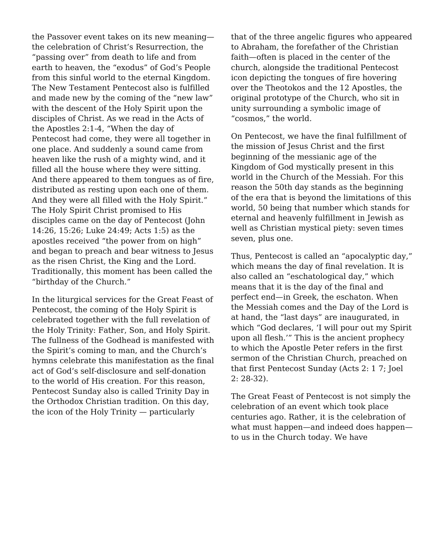the Passover event takes on its new meaning the celebration of Christ's Resurrection, the "passing over" from death to life and from earth to heaven, the "exodus" of God's People from this sinful world to the eternal Kingdom. The New Testament Pentecost also is fulfilled and made new by the coming of the "new law" with the descent of the Holy Spirit upon the disciples of Christ. As we read in the Acts of the Apostles 2:1-4, "When the day of Pentecost had come, they were all together in one place. And suddenly a sound came from heaven like the rush of a mighty wind, and it filled all the house where they were sitting. And there appeared to them tongues as of fire, distributed as resting upon each one of them. And they were all filled with the Holy Spirit." The Holy Spirit Christ promised to His disciples came on the day of Pentecost (John 14:26, 15:26; Luke 24:49; Acts 1:5) as the apostles received "the power from on high" and began to preach and bear witness to Jesus as the risen Christ, the King and the Lord. Traditionally, this moment has been called the "birthday of the Church."

In the liturgical services for the Great Feast of Pentecost, the coming of the Holy Spirit is celebrated together with the full revelation of the Holy Trinity: Father, Son, and Holy Spirit. The fullness of the Godhead is manifested with the Spirit's coming to man, and the Church's hymns celebrate this manifestation as the final act of God's self-disclosure and self-donation to the world of His creation. For this reason, Pentecost Sunday also is called Trinity Day in the Orthodox Christian tradition. On this day, the icon of the Holy Trinity — particularly

that of the three angelic figures who appeared to Abraham, the forefather of the Christian faith—often is placed in the center of the church, alongside the traditional Pentecost icon depicting the tongues of fire hovering over the Theotokos and the 12 Apostles, the original prototype of the Church, who sit in unity surrounding a symbolic image of "cosmos," the world.

On Pentecost, we have the final fulfillment of the mission of Jesus Christ and the first beginning of the messianic age of the Kingdom of God mystically present in this world in the Church of the Messiah. For this reason the 50th day stands as the beginning of the era that is beyond the limitations of this world, 50 being that number which stands for eternal and heavenly fulfillment in Jewish as well as Christian mystical piety: seven times seven, plus one.

Thus, Pentecost is called an "apocalyptic day," which means the day of final revelation. It is also called an "eschatological day," which means that it is the day of the final and perfect end—in Greek, the eschaton. When the Messiah comes and the Day of the Lord is at hand, the "last days" are inaugurated, in which "God declares, 'I will pour out my Spirit upon all flesh.'" This is the ancient prophecy to which the Apostle Peter refers in the first sermon of the Christian Church, preached on that first Pentecost Sunday (Acts 2: 1 7; Joel 2: 28-32).

The Great Feast of Pentecost is not simply the celebration of an event which took place centuries ago. Rather, it is the celebration of what must happen—and indeed does happen to us in the Church today. We have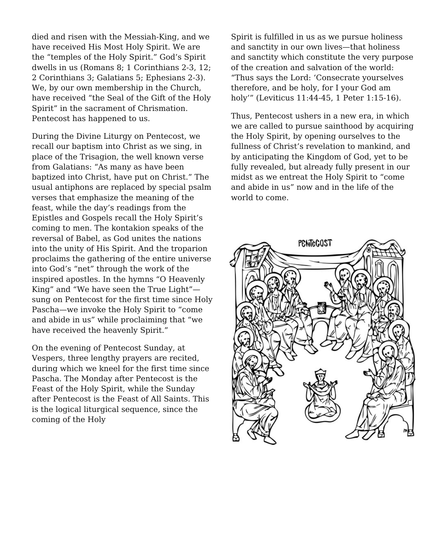died and risen with the Messiah-King, and we have received His Most Holy Spirit. We are the "temples of the Holy Spirit." God's Spirit dwells in us (Romans 8; 1 Corinthians 2-3, 12; 2 Corinthians 3; Galatians 5; Ephesians 2-3). We, by our own membership in the Church, have received "the Seal of the Gift of the Holy Spirit" in the sacrament of Chrismation. Pentecost has happened to us.

During the Divine Liturgy on Pentecost, we recall our baptism into Christ as we sing, in place of the Trisagion, the well known verse from Galatians: "As many as have been baptized into Christ, have put on Christ." The usual antiphons are replaced by special psalm verses that emphasize the meaning of the feast, while the day's readings from the Epistles and Gospels recall the Holy Spirit's coming to men. The kontakion speaks of the reversal of Babel, as God unites the nations into the unity of His Spirit. And the troparion proclaims the gathering of the entire universe into God's "net" through the work of the inspired apostles. In the hymns "O Heavenly King" and "We have seen the True Light" sung on Pentecost for the first time since Holy Pascha—we invoke the Holy Spirit to "come and abide in us" while proclaiming that "we have received the heavenly Spirit."

On the evening of Pentecost Sunday, at Vespers, three lengthy prayers are recited, during which we kneel for the first time since Pascha. The Monday after Pentecost is the Feast of the Holy Spirit, while the Sunday after Pentecost is the Feast of All Saints. This is the logical liturgical sequence, since the coming of the Holy

Spirit is fulfilled in us as we pursue holiness and sanctity in our own lives—that holiness and sanctity which constitute the very purpose of the creation and salvation of the world: "Thus says the Lord: 'Consecrate yourselves therefore, and be holy, for I your God am holy'" (Leviticus 11:44-45, 1 Peter 1:15-16).

Thus, Pentecost ushers in a new era, in which we are called to pursue sainthood by acquiring the Holy Spirit, by opening ourselves to the fullness of Christ's revelation to mankind, and by anticipating the Kingdom of God, yet to be fully revealed, but already fully present in our midst as we entreat the Holy Spirit to "come and abide in us" now and in the life of the world to come.

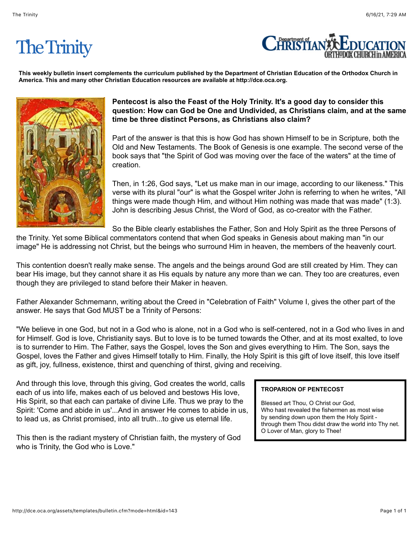# **The Trinity**



**This weekly bulletin insert complements the curriculum published by the Department of Christian Education of the Orthodox Church in America. This and many other Christian Education resources are available at http://dce.oca.org.**



**Pentecost is also the Feast of the Holy Trinity. It's a good day to consider this question: How can God be One and Undivided, as Christians claim, and at the same time be three distinct Persons, as Christians also claim?**

Part of the answer is that this is how God has shown Himself to be in Scripture, both the Old and New Testaments. The Book of Genesis is one example. The second verse of the book says that "the Spirit of God was moving over the face of the waters" at the time of creation.

Then, in 1:26, God says, "Let us make man in our image, according to our likeness." This verse with its plural "our" is what the Gospel writer John is referring to when he writes, "All things were made though Him, and without Him nothing was made that was made" (1:3). John is describing Jesus Christ, the Word of God, as co-creator with the Father.

So the Bible clearly establishes the Father, Son and Holy Spirit as the three Persons of

the Trinity. Yet some Biblical commentators contend that when God speaks in Genesis about making man "in our image" He is addressing not Christ, but the beings who surround Him in heaven, the members of the heavenly court.

This contention doesn't really make sense. The angels and the beings around God are still created by Him. They can bear His image, but they cannot share it as His equals by nature any more than we can. They too are creatures, even though they are privileged to stand before their Maker in heaven.

Father Alexander Schmemann, writing about the Creed in "Celebration of Faith" Volume I, gives the other part of the answer. He says that God MUST be a Trinity of Persons:

"We believe in one God, but not in a God who is alone, not in a God who is self-centered, not in a God who lives in and for Himself. God is love, Christianity says. But to love is to be turned towards the Other, and at its most exalted, to love is to surrender to Him. The Father, says the Gospel, loves the Son and gives everything to Him. The Son, says the Gospel, loves the Father and gives Himself totally to Him. Finally, the Holy Spirit is this gift of love itself, this love itself as gift, joy, fullness, existence, thirst and quenching of thirst, giving and receiving.

And through this love, through this giving, God creates the world, calls each of us into life, makes each of us beloved and bestows His love, His Spirit, so that each can partake of divine Life. Thus we pray to the Spirit: 'Come and abide in us'...And in answer He comes to abide in us, to lead us, as Christ promised, into all truth...to give us eternal life.

This then is the radiant mystery of Christian faith, the mystery of God who is Trinity, the God who is Love."

#### **TROPARION OF PENTECOST**

Blessed art Thou, O Christ our God, Who hast revealed the fishermen as most wise by sending down upon them the Holy Spirit through them Thou didst draw the world into Thy net. O Lover of Man, glory to Thee!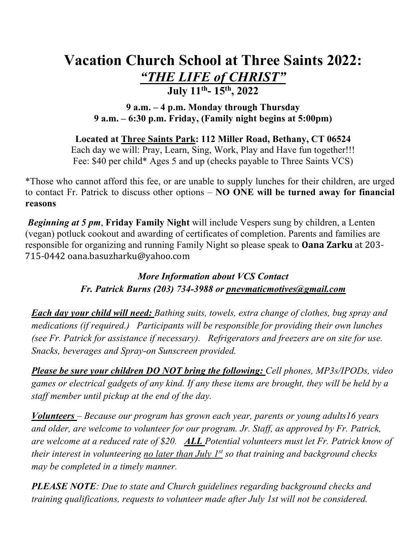# **Vacation Church School at Three Saints 2022:** *"THE LIFE of CHRIST"* **July 11th- 15th, 2022**

# **9 a.m. – 4 p.m. Monday through Thursday 9 a.m. – 6:30 p.m. Friday, (Family night begins at 5:00pm)**

**Located at Three Saints Park: 112 Miller Road, Bethany, CT 06524**

Each day we will: Pray, Learn, Sing, Work, Play and Have fun together!!! Fee: \$40 per child\* Ages 5 and up (checks payable to Three Saints VCS)

\*Those who cannot afford this fee, or are unable to supply lunches for their children, are urged to contact Fr. Patrick to discuss other options – **NO ONE will be turned away for financial reasons**

*Beginning at 5 pm*, **Friday Family Night** will include Vespers sung by children, a Lenten (vegan) potluck cookout and awarding of certificates of completion. Parents and families are responsible for organizing and running Family Night so please speak to **Oana Zarku** at 203-715-0442 oana.basuzharku@yahoo.com

# *More Information about VCS Contact Fr. Patrick Burns (203) 734-3988 or pnevmaticmotives@gmail.com*

*Each day your child will need: Bathing suits, towels, extra change of clothes, bug spray and medications (if required.) Participants will be responsible for providing their own lunches (see Fr. Patrick for assistance if necessary). Refrigerators and freezers are on site for use. Snacks, beverages and Spray-on Sunscreen provided.*

*Please be sure your children DO NOT bring the following: Cell phones, MP3s/IPODs, video games or electrical gadgets of any kind. If any these items are brought, they will be held by a staff member until pickup at the end of the day.*

*Volunteers – Because our program has grown each year, parents or young adults16 years and older, are welcome to volunteer for our program. Jr. Staff, as approved by Fr. Patrick, are welcome at a reduced rate of \$20. ALL Potential volunteers must let Fr. Patrick know of their interest in volunteering no later than July 1st so that training and background checks may be completed in a timely manner.* 

*PLEASE NOTE: Due to state and Church guidelines regarding background checks and training qualifications, requests to volunteer made after July 1st will not be considered.*